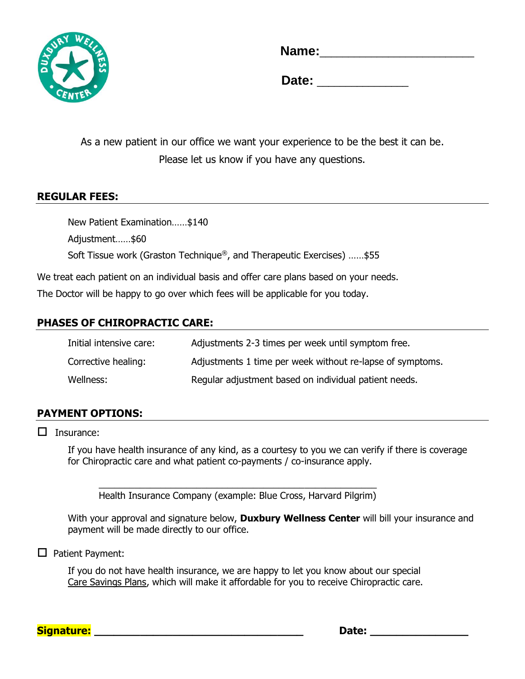

**Name:** 

**Date:**  $\blacksquare$ 

As a new patient in our office we want your experience to be the best it can be. Please let us know if you have any questions.

# **REGULAR FEES:**

New Patient Examination……\$140 Adjustment……\$60 Soft Tissue work (Graston Technique®, and Therapeutic Exercises) ……\$55

We treat each patient on an individual basis and offer care plans based on your needs. The Doctor will be happy to go over which fees will be applicable for you today.

# **PHASES OF CHIROPRACTIC CARE:**

| Initial intensive care: | Adjustments 2-3 times per week until symptom free.        |
|-------------------------|-----------------------------------------------------------|
| Corrective healing:     | Adjustments 1 time per week without re-lapse of symptoms. |
| Wellness:               | Regular adjustment based on individual patient needs.     |

## **PAYMENT OPTIONS:**

 $\Box$  Insurance:

If you have health insurance of any kind, as a courtesy to you we can verify if there is coverage for Chiropractic care and what patient co-payments / co-insurance apply.

\_\_\_\_\_\_\_\_\_\_\_\_\_\_\_\_\_\_\_\_\_\_\_\_\_\_\_\_\_\_\_\_\_\_\_\_\_\_\_\_\_\_\_\_\_\_\_\_\_\_\_\_\_\_ Health Insurance Company (example: Blue Cross, Harvard Pilgrim)

With your approval and signature below, **Duxbury Wellness Center** will bill your insurance and payment will be made directly to our office.

#### $\Box$  Patient Payment:

If you do not have health insurance, we are happy to let you know about our special Care Savings Plans, which will make it affordable for you to receive Chiropractic care.

**Signature: \_\_\_\_\_\_\_\_\_\_\_\_\_\_\_\_\_\_\_\_\_\_\_\_\_\_\_\_\_\_\_\_ Date: \_\_\_\_\_\_\_\_\_\_\_\_\_\_\_**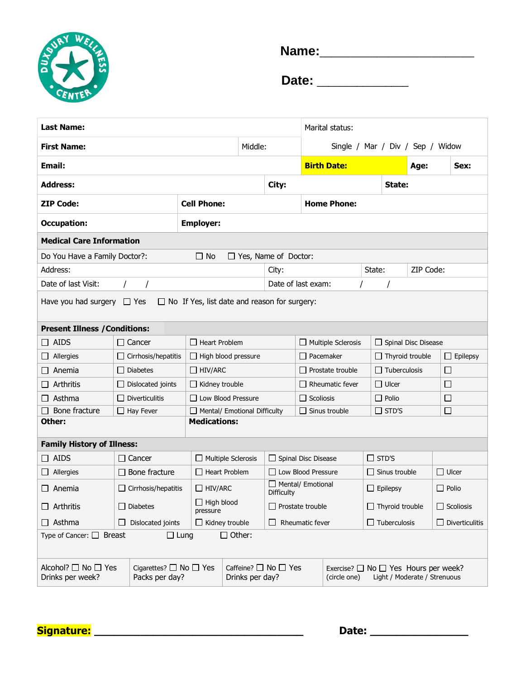

**Name:**\_\_\_\_\_\_\_\_\_\_\_\_\_\_\_\_\_\_\_\_\_\_\_\_\_\_\_

 **Date:** \_\_\_\_\_\_\_\_\_\_\_\_\_\_\_\_

| <b>Last Name:</b>                                                                      |                                                    |                                                   |                                                   |                    |                                                                                                | Marital status:                                               |                            |                                              |           |              |                  |
|----------------------------------------------------------------------------------------|----------------------------------------------------|---------------------------------------------------|---------------------------------------------------|--------------------|------------------------------------------------------------------------------------------------|---------------------------------------------------------------|----------------------------|----------------------------------------------|-----------|--------------|------------------|
| Middle:<br><b>First Name:</b>                                                          |                                                    |                                                   |                                                   |                    | Single / Mar / Div / Sep / Widow                                                               |                                                               |                            |                                              |           |              |                  |
| <b>Email:</b>                                                                          |                                                    |                                                   |                                                   |                    |                                                                                                | <b>Birth Date:</b>                                            |                            |                                              | Age:      |              | Sex:             |
| <b>Address:</b>                                                                        |                                                    |                                                   | City:                                             |                    |                                                                                                |                                                               |                            |                                              | State:    |              |                  |
| <b>ZIP Code:</b>                                                                       |                                                    | <b>Cell Phone:</b>                                |                                                   |                    |                                                                                                | <b>Home Phone:</b>                                            |                            |                                              |           |              |                  |
| <b>Occupation:</b>                                                                     |                                                    | <b>Employer:</b>                                  |                                                   |                    |                                                                                                |                                                               |                            |                                              |           |              |                  |
| <b>Medical Care Information</b>                                                        |                                                    |                                                   |                                                   |                    |                                                                                                |                                                               |                            |                                              |           |              |                  |
| Do You Have a Family Doctor?:<br>$\Box$ No<br>$\Box$ Yes, Name of Doctor:              |                                                    |                                                   |                                                   |                    |                                                                                                |                                                               |                            |                                              |           |              |                  |
| Address:                                                                               |                                                    |                                                   | City:                                             |                    |                                                                                                | State:                                                        |                            |                                              | ZIP Code: |              |                  |
| Date of last Visit:                                                                    | $\prime$                                           |                                                   |                                                   | Date of last exam: |                                                                                                |                                                               |                            |                                              |           |              |                  |
| $\Box$ No If Yes, list date and reason for surgery:<br>Have you had surgery $\Box$ Yes |                                                    |                                                   |                                                   |                    |                                                                                                |                                                               |                            |                                              |           |              |                  |
| <b>Present Illness / Conditions:</b>                                                   |                                                    |                                                   |                                                   |                    |                                                                                                |                                                               |                            |                                              |           |              |                  |
| $\square$ AIDS                                                                         | $\Box$ Cancer                                      |                                                   | $\Box$ Heart Problem<br>$\Box$ Multiple Sclerosis |                    |                                                                                                |                                                               | $\Box$ Spinal Disc Disease |                                              |           |              |                  |
| Allergies<br>$\Box$                                                                    | $\Box$ Cirrhosis/hepatitis                         |                                                   | $\Box$ High blood pressure                        |                    |                                                                                                | $\Box$ Pacemaker<br>$\Box$ Thyroid trouble<br>$\Box$ Epilepsy |                            |                                              |           |              |                  |
| Anemia                                                                                 | <b>Diabetes</b>                                    |                                                   | $\Box$ HIV/ARC                                    |                    |                                                                                                | $\Box$ Tuberculosis<br>□<br>$\Box$ Prostate trouble           |                            |                                              |           |              |                  |
| Arthritis                                                                              | Dislocated joints                                  |                                                   | $\Box$ Kidney trouble                             |                    |                                                                                                | $\Box$ Ulcer<br>□<br>Rheumatic fever                          |                            |                                              |           |              |                  |
| Asthma<br>$\Box$                                                                       | $\Box$ Diverticulitis                              |                                                   | $\Box$ Low Blood Pressure                         |                    |                                                                                                | $\Box$ Polio<br>$\Box$ Scoliosis                              |                            |                                              |           | □            |                  |
| Bone fracture                                                                          | $\Box$ Hay Fever                                   |                                                   | $\Box$ Mental/ Emotional Difficulty               |                    | $\Box$ STD'S<br>□<br>Sinus trouble                                                             |                                                               |                            |                                              |           |              |                  |
| Other:                                                                                 |                                                    | <b>Medications:</b>                               |                                                   |                    |                                                                                                |                                                               |                            |                                              |           |              |                  |
| <b>Family History of Illness:</b>                                                      |                                                    |                                                   |                                                   |                    |                                                                                                |                                                               |                            |                                              |           |              |                  |
| $\Box$ AIDS                                                                            | $\Box$ Cancer                                      |                                                   | $\Box$ Multiple Sclerosis                         |                    | Spinal Disc Disease                                                                            |                                                               | $\Box$ STD'S               |                                              |           |              |                  |
| Allergies<br>$\Box$                                                                    | Bone fracture                                      |                                                   | $\Box$ Heart Problem                              |                    | □ Low Blood Pressure                                                                           |                                                               | $\Box$ Sinus trouble       |                                              |           | $\Box$ Ulcer |                  |
| Anemia<br>$\Box$                                                                       | $\Box$ Cirrhosis/hepatitis                         |                                                   | $\Box$ HIV/ARC                                    |                    | $\Box$ Mental/ Emotional<br><b>Difficulty</b>                                                  |                                                               | $\Box$ Epilepsy            |                                              |           | $\Box$ Polio |                  |
| Arthritis                                                                              | $\Box$ Diabetes                                    | $\Box$ High blood<br>pressure                     |                                                   |                    | $\Box$ Prostate trouble                                                                        |                                                               | $\Box$ Thyroid trouble     |                                              |           |              | $\Box$ Scoliosis |
| $\Box$ Asthma                                                                          | Dislocated joints<br>$\perp$                       | $\Box$ Kidney trouble                             |                                                   |                    | $\Box$ Rheumatic fever                                                                         |                                                               |                            | $\Box$ Tuberculosis<br>$\Box$ Diverticulitis |           |              |                  |
| $\Box$ Other:<br>Type of Cancer: $\Box$ Breast<br>$\Box$ Lung                          |                                                    |                                                   |                                                   |                    |                                                                                                |                                                               |                            |                                              |           |              |                  |
| Alcohol? □ No □ Yes<br>Drinks per week?                                                | Cigarettes? $\Box$ No $\Box$ Yes<br>Packs per day? | Caffeine? $\Box$ No $\Box$ Yes<br>Drinks per day? |                                                   |                    | Exercise? $\Box$ No $\Box$ Yes Hours per week?<br>Light / Moderate / Strenuous<br>(circle one) |                                                               |                            |                                              |           |              |                  |

**Signature: \_\_\_\_\_\_\_\_\_\_\_\_\_\_\_\_\_\_\_\_\_\_\_\_\_\_\_\_\_\_\_\_ Date: \_\_\_\_\_\_\_\_\_\_\_\_\_\_\_**